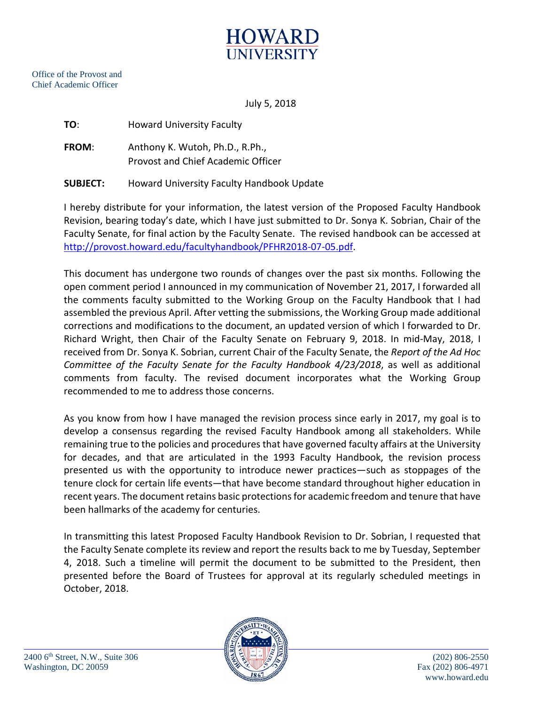

July 5, 2018

**FROM**: Anthony K. Wutoh, Ph.D., R.Ph., Provost and Chief Academic Officer

**SUBJECT:** Howard University Faculty Handbook Update

I hereby distribute for your information, the latest version of the Proposed Faculty Handbook Revision, bearing today's date, which I have just submitted to Dr. Sonya K. Sobrian, Chair of the Faculty Senate, for final action by the Faculty Senate. The revised handbook can be accessed at [http://provost.howard.edu/facultyhandbook/PFHR2018-07-05.pdf.](http://provost.howard.edu/facultyhandbook/PFHR2018-07-05.pdf)

This document has undergone two rounds of changes over the past six months. Following the open comment period I announced in my communication of November 21, 2017, I forwarded all the comments faculty submitted to the Working Group on the Faculty Handbook that I had assembled the previous April. After vetting the submissions, the Working Group made additional corrections and modifications to the document, an updated version of which I forwarded to Dr. Richard Wright, then Chair of the Faculty Senate on February 9, 2018. In mid-May, 2018, I received from Dr. Sonya K. Sobrian, current Chair of the Faculty Senate, the *Report of the Ad Hoc Committee of the Faculty Senate for the Faculty Handbook 4/23/2018*, as well as additional comments from faculty. The revised document incorporates what the Working Group recommended to me to address those concerns.

As you know from how I have managed the revision process since early in 2017, my goal is to develop a consensus regarding the revised Faculty Handbook among all stakeholders. While remaining true to the policies and procedures that have governed faculty affairs at the University for decades, and that are articulated in the 1993 Faculty Handbook, the revision process presented us with the opportunity to introduce newer practices—such as stoppages of the tenure clock for certain life events—that have become standard throughout higher education in recent years. The document retains basic protections for academic freedom and tenure that have been hallmarks of the academy for centuries.

In transmitting this latest Proposed Faculty Handbook Revision to Dr. Sobrian, I requested that the Faculty Senate complete its review and report the results back to me by Tuesday, September 4, 2018. Such a timeline will permit the document to be submitted to the President, then presented before the Board of Trustees for approval at its regularly scheduled meetings in October, 2018.